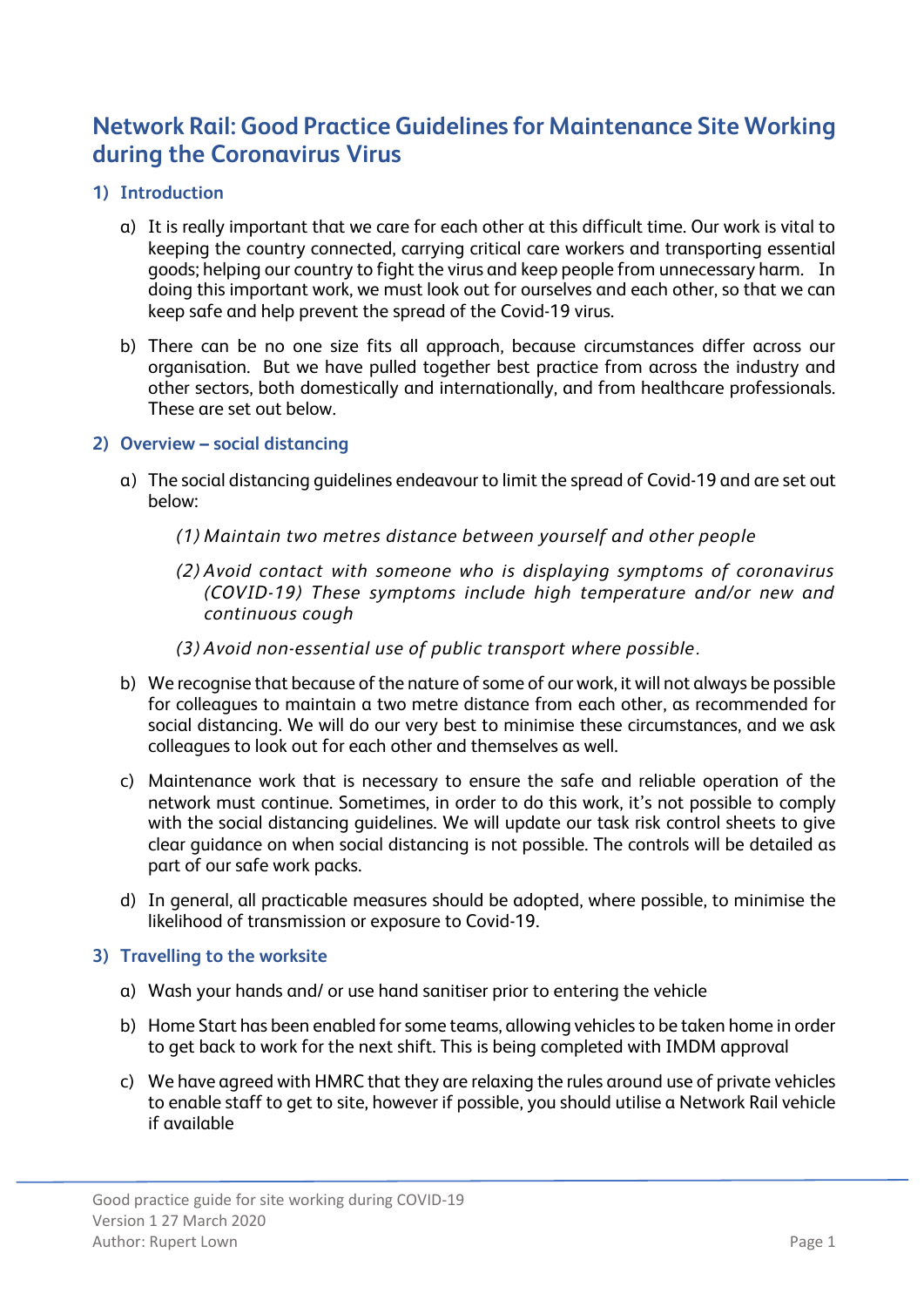# **Network Rail: Good Practice Guidelines for Maintenance Site Working during the Coronavirus Virus**

- **1) Introduction** 
	- a) It is really important that we care for each other at this difficult time. Our work is vital to keeping the country connected, carrying critical care workers and transporting essential goods; helping our country to fight the virus and keep people from unnecessary harm. In doing this important work, we must look out for ourselves and each other, so that we can keep safe and help prevent the spread of the Covid-19 virus.
	- b) There can be no one size fits all approach, because circumstances differ across our organisation. But we have pulled together best practice from across the industry and other sectors, both domestically and internationally, and from healthcare professionals. These are set out below.

## **2) Overview – social distancing**

- a) The social distancing guidelines endeavour to limit the spread of Covid-19 and are set out below:
	- *(1) Maintain two metres distance between yourself and other people*
	- *(2) Avoid contact with someone who is displaying symptoms of coronavirus (COVID-19) These symptoms include high temperature and/or new and continuous cough*
	- *(3) Avoid non-essential use of public transport where possible.*
- b) We recognise that because of the nature of some of our work, it will not always be possible for colleagues to maintain a two metre distance from each other, as recommended for social distancing. We will do our very best to minimise these circumstances, and we ask colleagues to look out for each other and themselves as well.
- c) Maintenance work that is necessary to ensure the safe and reliable operation of the network must continue. Sometimes, in order to do this work, it's not possible to comply with the social distancing guidelines. We will update our task risk control sheets to give clear guidance on when social distancing is not possible. The controls will be detailed as part of our safe work packs.
- d) In general, all practicable measures should be adopted, where possible, to minimise the likelihood of transmission or exposure to Covid-19.

## **3) Travelling to the worksite**

- a) Wash your hands and/ or use hand sanitiser prior to entering the vehicle
- b) Home Start has been enabled for some teams, allowing vehicles to be taken home in order to get back to work for the next shift. This is being completed with IMDM approval
- c) We have agreed with HMRC that they are relaxing the rules around use of private vehicles to enable staff to get to site, however if possible, you should utilise a Network Rail vehicle if available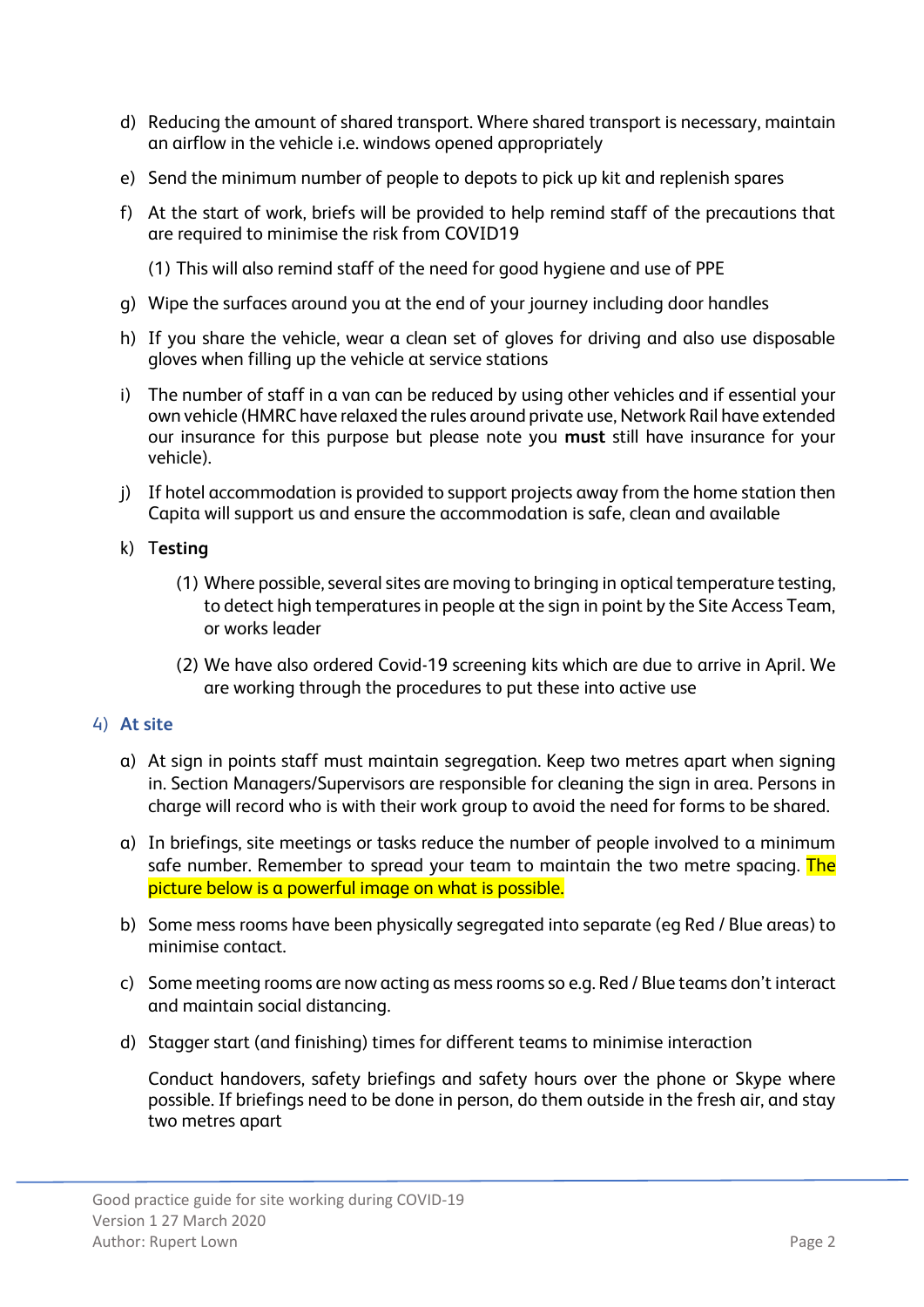- d) Reducing the amount of shared transport. Where shared transport is necessary, maintain an airflow in the vehicle i.e. windows opened appropriately
- e) Send the minimum number of people to depots to pick up kit and replenish spares
- f) At the start of work, briefs will be provided to help remind staff of the precautions that are required to minimise the risk from COVID19
	- (1) This will also remind staff of the need for good hygiene and use of PPE
- g) Wipe the surfaces around you at the end of your journey including door handles
- h) If you share the vehicle, wear a clean set of gloves for driving and also use disposable gloves when filling up the vehicle at service stations
- i) The number of staff in a van can be reduced by using other vehicles and if essential your own vehicle (HMRC have relaxed the rules around private use, Network Rail have extended our insurance for this purpose but please note you **must** still have insurance for your vehicle).
- j) If hotel accommodation is provided to support projects away from the home station then Capita will support us and ensure the accommodation is safe, clean and available

## k) T**esting**

- (1) Where possible, several sites are moving to bringing in optical temperature testing, to detect high temperatures in people at the sign in point by the Site Access Team, or works leader
- (2) We have also ordered Covid-19 screening kits which are due to arrive in April. We are working through the procedures to put these into active use

## 4) **At site**

- a) At sign in points staff must maintain segregation. Keep two metres apart when signing in. Section Managers/Supervisors are responsible for cleaning the sign in area. Persons in charge will record who is with their work group to avoid the need for forms to be shared.
- a) In briefings, site meetings or tasks reduce the number of people involved to a minimum safe number. Remember to spread your team to maintain the two metre spacing. The picture below is a powerful image on what is possible.
- b) Some mess rooms have been physically segregated into separate (eg Red / Blue areas) to minimise contact.
- c) Some meeting rooms are now acting as mess rooms so e.g. Red / Blue teams don't interact and maintain social distancing.
- d) Stagger start (and finishing) times for different teams to minimise interaction

Conduct handovers, safety briefings and safety hours over the phone or Skype where possible. If briefings need to be done in person, do them outside in the fresh air, and stay two metres apart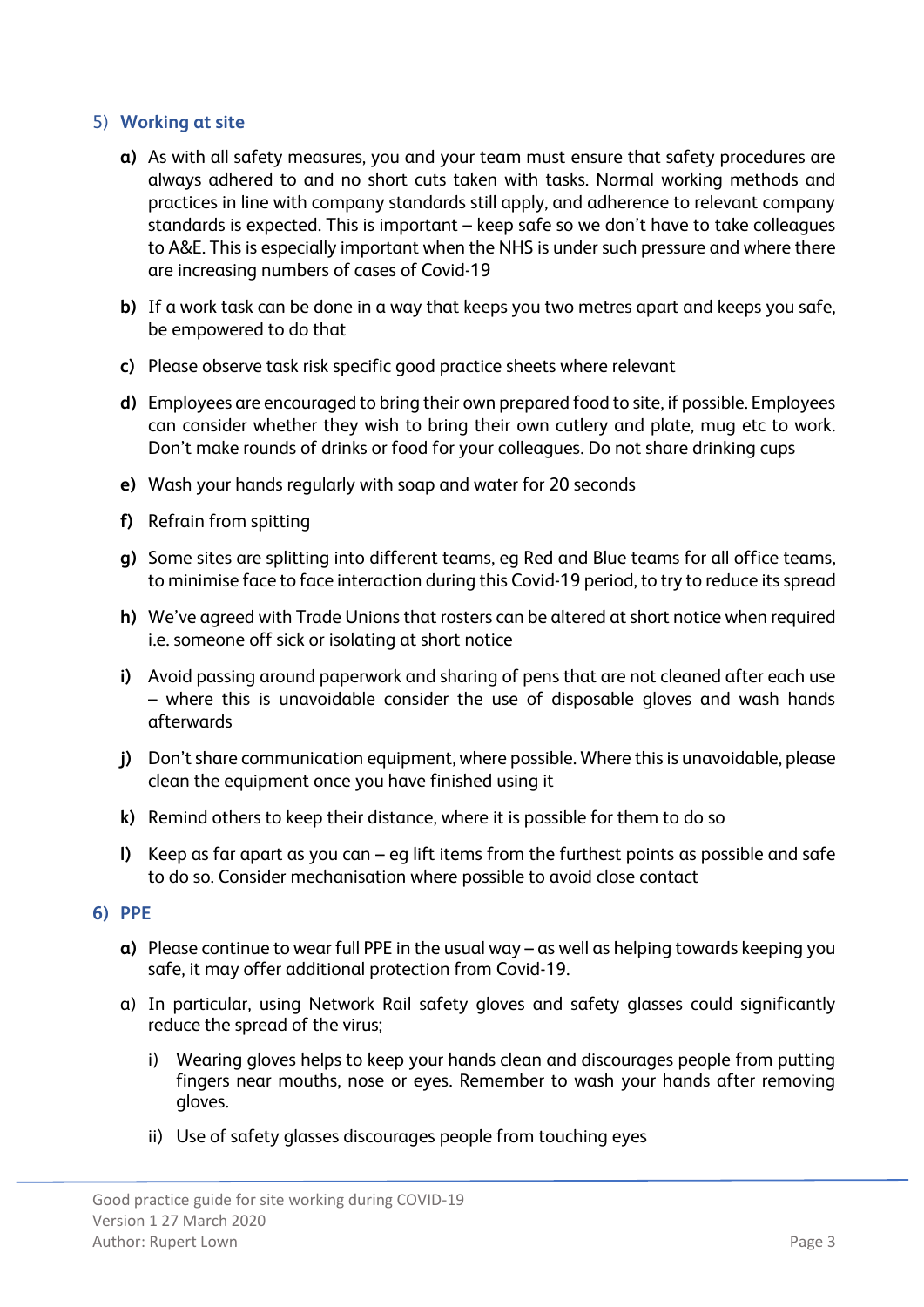## 5) **Working at site**

- **a)** As with all safety measures, you and your team must ensure that safety procedures are always adhered to and no short cuts taken with tasks. Normal working methods and practices in line with company standards still apply, and adherence to relevant company standards is expected. This is important – keep safe so we don't have to take colleagues to A&E. This is especially important when the NHS is under such pressure and where there are increasing numbers of cases of Covid-19
- **b)** If a work task can be done in a way that keeps you two metres apart and keeps you safe, be empowered to do that
- **c)** Please observe task risk specific good practice sheets where relevant
- **d)** Employees are encouraged to bring their own prepared food to site, if possible. Employees can consider whether they wish to bring their own cutlery and plate, mug etc to work. Don't make rounds of drinks or food for your colleagues. Do not share drinking cups
- **e)** Wash your hands regularly with soap and water for 20 seconds
- **f)** Refrain from spitting
- **g)** Some sites are splitting into different teams, eg Red and Blue teams for all office teams, to minimise face to face interaction during this Covid-19 period, to try to reduce its spread
- **h)** We've agreed with Trade Unions that rosters can be altered at short notice when required i.e. someone off sick or isolating at short notice
- **i)** Avoid passing around paperwork and sharing of pens that are not cleaned after each use – where this is unavoidable consider the use of disposable gloves and wash hands afterwards
- **j)** Don't share communication equipment, where possible. Where this is unavoidable, please clean the equipment once you have finished using it
- **k)** Remind others to keep their distance, where it is possible for them to do so
- **l)** Keep as far apart as you can eg lift items from the furthest points as possible and safe to do so. Consider mechanisation where possible to avoid close contact

## **6) PPE**

- **a)** Please continue to wear full PPE in the usual way as well as helping towards keeping you safe, it may offer additional protection from Covid-19.
- a) In particular, using Network Rail safety gloves and safety glasses could significantly reduce the spread of the virus;
	- i) Wearing gloves helps to keep your hands clean and discourages people from putting fingers near mouths, nose or eyes. Remember to wash your hands after removing gloves.
	- ii) Use of safety glasses discourages people from touching eyes